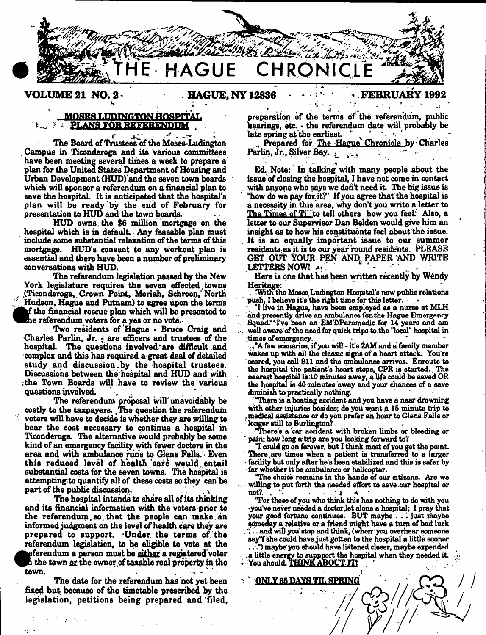

**VOLUME 21 NO. 2 BAGUE, NY 12836 FEBRUARY 1992** 

# MQSB8 LUDINGTON HOSPITAL **E. PLANS FOR REFERENDUM**

. r *■ y \* \** The Board of Trustees of the Moses-Ludington Campus in Ticonderoga and its various committees have been meeting several times, a week to prepare a plan for the United States Department of Housing and Urban Development (HUD)'and the seven town boards which will sponsor a referendum on a financial plan to save the hospital. It is anticipated that the hospital's plan will be ready by the end of February for presentation to HUD.and the town boards.

HUD owns the \$6 million mortgage on the hospital which is in default Any feasable plan must include some substantial relaxation of the terms of this mortgage. HUD's consent to any workout plan is essential and there have been a number of preliminary conversations with HUD.

**the numerical rescue plan which will be**<br>the referendum voters for a yes or no vote. The referendum legislation passed by the New York legislature requires the seven effected towns {Ticonderoga,.Crown Point, Moriah, Sehroon, North Hudson, Hague and Putnam) to agree upon the terms f the financial rescue plan which will be presented to

Two residents of Hague - Bruce Craig and Charles Parlin, Jr. - are officers and trustees of the hospital. The questions involved are difficult and complex and this has required a great deal of detailed study and discussion.by the hospital trustees. Discussions between the hospital and HUD and with ;the Town Boards will have to review the various questions involved.

The referendum proposal will'unavoidably be costly to the taxpayers. ,The question the referendum , voters will have to decide is whether they are willing to bear the cost necessary to continue a hospital in Ticonderoga. The alternative would probably be some kind of an emergency facility with fewer doctors in the area and with ambulance runs to dens Falls. Even this reduced level of health care would entail substantial costs for the seven towns. The hospital is attempting to quantify all of these costs so they can be part of the public discussion.

The hospital intends to share all of its thinking and its financial information with the voters prior to the referendum so that the people can make an informed judgment on the level of health care they are prepared to support. Under the terms of the referendum legislation, to be eligible to vote at the ^^eferendum a person must be either a regietered voter  $^{\hbar}$  the town <u>or</u> the owner of taxable real property in the town.  $\mathbf{v} = \mathbf{v} \cdot \mathbf{v}$  and  $\mathbf{v} = \mathbf{v} \cdot \mathbf{v}$ .

The date for the referendum has not yet been fixed but because of the timetable prescribed by the legislation, petitions being prepared and filed, preparation of the terms of the referendum, public hearings, etc. • the referendum date will probably be late spring at the earliest.

Prepared for The Hague Chronicle by Charles Parlin, Jr., Silver Bay.

Ed. Note: In talking with many people about the issue of closing the hospital, I have not come in contact with anyone who says we don't need it. The big issue is "how do we pay for it?" If you agree that the hospital is a necessity in this area, why don't you write a letter to The Times of  $T_1$  to tell others how you feel. Also, a letter to our Supervisor Dan Belden would give him an insight as to how his constituents feel about the issue. It is an equally important issue to our summer residents.as it is to our year round residents. PLEASE GET OUT YOUR PEN AND, PAPER AND WRITE LETTERS NOW!

Here is one that has been written recently by Wendy Heritage:

. "With the Moses Ludington Hospital's new public relatione push. I believe it's the right time for this letter.  $-$ 

"I live in Hague, have been employed as a nurse at MLH and presently drive an ambulance for the Hague Emergency . Squadr'Tve been an EMT/Paramedic for 14 years and am well aware of the need for quick trips to the "local" hospital in  $time$  of emergency.

few scenarios, if you will - it's 2AM and a family member wakes up with all the classic signs of a heart attack. You're ecared, you call 911 and the ambulance arrives. Enroute to the hospital the patient's heart stops, CPR is started., The nearest noepital isTO minutes away, a life could be saved OR the hospital is 40 minutes away and your chances of a save diminish to practically nothing.

"There is a boating accident and you have a near drowning with other injuries besides; do you want a 16 minute trip to medical assistance or do you prefer an hour to Glens Falls or longer still to Burlington?

"There's a 'car accident with broken limbs or bleeding or pain; how long a trip are you looking forward to?

"I could go on forever, but I think most of you get die paint. There.are times when a patient is transferred to a larger facility but only after he's been stabilized and this is safer by far whether it be ambulance or helicopter.

"The choice remains In the hands of our citizens. Are we willing to put forth the needed effort to save our hospital or not? not?.  $\mathbb{Z}$  ,  $\mathbb{R}^2$  and  $\mathbb{Z}$  and  $\mathbb{Z}$  and  $\mathbb{Z}$  and  $\mathbb{Z}$ 

Tor those of you who think this has nothing to do with you -you've never needed a doctor,let alone a hospital; 1 pray that your good fortune continues. BUT maybe . . just maybe someday a relative or a friend might have a turn of bad luck . . and will you stop and think, (when you overhear someone  $\,$ say"f she could have just gotten to the hospital a little sooner ..") maybe' you should have listened closer, maybe expended .a little energy to suppport the hospital when they needed it.  $\sim$  You should. THINK ABOUT  $\mathbf{H}$ 

ONLY 35 DAYS TIL SPRING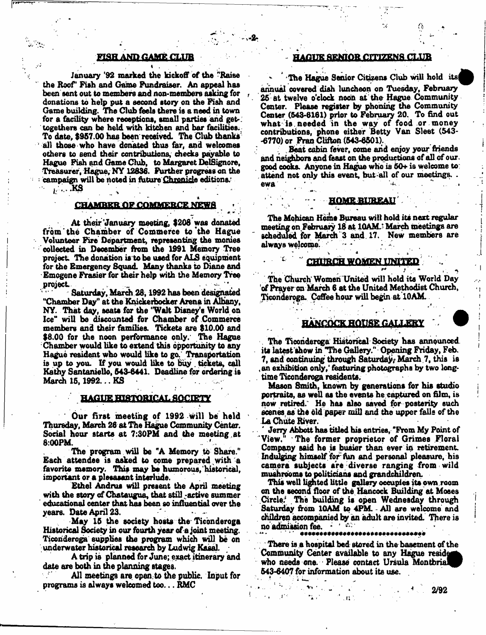# F18H AND GAME CLUB

January '92 marked the kickoff of the "Raise the Roof' Fish and Game Fundraiser. An appeal has been sent out to members and non-members asking for , donations to help put a second story on the Fish and Game building. The Club feels there is a need in town for a facility where receptions, small parties and gettogethers can be held with kitchen and bar facilities. To date, \$957.00 has been received. The Club thanks' all those who have donated thus far, and welcomes others to send their contributions, checks payable to Hague Fish and Game Club, to Margaret DelSignore, Treasurer, Hague, NY 12836. Further progress on the : campaign will be noted in ftiture Chronide editions.

 $\cdots$  KS

#### CHAMBER OF COMMERCE NEWS \* ' » \* \* ' ' ■ ♦ '

• At their'January meeting, \$208 was donated from'the Chamber of Commerce to the Hague Volunteer Fire Department, representing the monies collected in December from the X991 Memory Tree project The donation is to be used for AL9 equipment for the Emergency Squad. Many thanks to Diane and Emogene Frasier for their help with the Memory Tree project

Saturday, March 28, 1992 has been designated "Chamber Day" at the Knickerbocker Arena in Albany, NY. That day, seats for the "Walt Disney's World on Ice" will be discounted for Chamber of Commerce members and their families. Tickets are \$10.00 and \$8.00 for the noon performance only.' The Hague Chamber would like to extend this opportunity to any Hague resident who would like to go, Transportation is up to you. If you would like to Buy , tickets, call Kathy Santaniello, 543-6441. Deadline for ordering is March 15, 1992... KS

# **HAGUE HISTORICAL SOCIETY**

*'* Our first meeting of 1992 will be held Thursday, March 26 at The Hague Community Center. Social hour starts at 7:30PM and the meeting,at 8:00PM.

The program will be "A Memory to Share." Each attendee is asked to come prepared with a favorite memory. This may be humorous, historical, important or a plesasant interlude.

Ethel Andrus will present the April meeting with the story of Chataugua, that still -active summer ' educational center that has been so influential over the years. Date April 23.

May 15 the society hosts the Ticonderoga Historical Society in our fourth year of a joint meeting. Ticonderoga supplies the program which will be on underwater historical research by Ludwig Kasai. /

A trip is planned for June; exact itinerary and date are both in the planning stages.

All meetings are open to the public. Input for programs is always welcomed too... RMC

# HAGUE SENIOR CITIZENS CLUB

The Hague Senior Citizens Club will hold its

annual covered dish luncheon on Tuesday, February 26 at twelve o'clock noon at the Hague Community Center. Please register by phoning the Community Center (543-8181) prior to February 20. To find out what is, needed in the way of food or money contributions, phone either Betty Van Sleet (543- -6770) or Fran Clifton (543-8501).

Beat cabin fever, come and enjoy your friends and neighbors and feast on the productions of all of our. good cooks. Anyone in Hague who is 50+ is welcome to; . attend not only this event, but all of our meetings. . ewa ... •

#### **HOME BUREAU**

\* . \*

The Mohican Home Bureau will hold its next regular meeting on February 18 at 10AM.<sup>3</sup> March meetings are scheduled for March 3 and. 17. New members are always welcome. •

#### x CHURCH WOMEN UNITED

. . *\*\* .* / The Church'Women United will hold its World Day of Prayer on March 6 at the United Methodist Church, Ticonderoga. Coffee hour will begin at 10AM.

# HANCOCK HOUSE GALLERY

. The Ticonderoga Historical Society has announced, its latest show in "The Gallery." Opening Friday, Feb. 7, and continuing through Saturday, March 7, this is an exhibition only, featuring photographs by two longtime Ticonderoga residents.

Mason Smith, known by generations for his studio portraits, as well as the events he captured on film, is now retired." He has also saved for posterity such ecenes as the old paper mill and the upper falls of the La Chute River. \

' Jerry Abbott has titled his entries, "From My Point of View/' The former proprietor of Grimes Floral Company said he is busier than ever in retirement. Indulging himself for fun and personal pleasure, his camera subjects are diverse ranging from wild mushrooms to politicians and grandchildren.

This well lighted little gallery occupies its own room on the second floor of the Hancock Building at Mooes Circle, The building is open Wednesday through Saturday from 10AM to 4PM. - All are welcome and children accompanied by an adult are invited. There is no admission fee. \*\*

There is a hospital bed stored in the basement of the Community Center available to any Hague reside who needs one. Please contact Ursula Montbrial 543-6407 for information about its use.

 $\mathcal{C}^{\mathcal{A}}=\mathcal{C}^{\mathcal{A}}$  is a set of  $\mathcal{A}$ 

+> - \* . .■\* " 2/92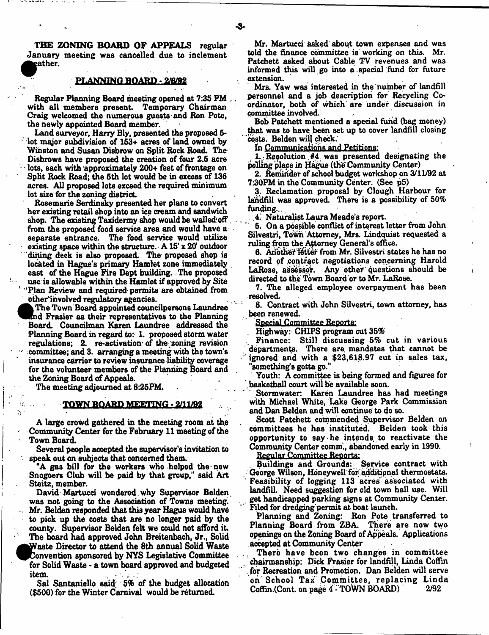THE ZONING BOARD OF APPEALS regular January meeting was cancelled due to inclement eather.

#### **PLANNING BOARD - 2/6/92**

Regular Planning Board meeting opened at 7:35 PM with all members present. Temporary Chairman Craig welcomed the numerous guests and Ron Pote, the newly appointed Board member.

Land surveyor, Harry Bly, presented the proposed 5-  $\cdot$  lot major subdivision of 153+ acres of land owned by Winston and Susan Disbrow on Split Rock Road. The Disbrows have proposed the creation of four 2.6 acre lots, each with approximately 200+ feet of frontage on Split Rock Road; the 6th lot would be in excess of 136 acres. All proposed lots exceed the required minimum lot size for the zoning district

Rosemarie Serdinaky presented her plans to convert her existing retail shop into an ice cream and sandwich shop. The existing Taxidermy shop would be walled;off from the proposed food service area and would have a separate entrance. The food service would utilize existing space within the structure. A 15' x 20' outdoor dining deck is also proposed. The proposed shop is located in Hague's primary Hamlet zone immediately east of the Hague Fire Dept building. The proposed use is allowable within the Hamlet if approved by Site ' 'Plan Review and required permits are obtained from otherinvolved regulatory agencies.

The Town Board appointed council persons Laundree Ind Frasier as their representatives to the Planning Board. Councilman Karen Laundree addressed the Planning Board in regard to: 1. proposed storm water regulations; 2. re-activation' of the zoning revision • committee; and 3. arranging a meeting with the town's insurance carrier to review insurance liability coverage for the volunteer members of the Planning Board and the Zoning Board of Appeals.

The meeting adjourned at 8:25PM.

 $\mathcal{L}^{\mathcal{A}}$ 

# **IQWMBQARD MEETING - £11/82**

A large crowd gathered in the meeting room at the Community Center for the February 11 meeting of the Town Board.

Several people accepted the supervisor's invitation to speak out on subjects that concerned them.

"A gas bill for the workers who helped the new Snogoers Club will be paid by that group," said Art Steitz, member.

David-Martucci wondered why Supervisor Belden. was not going to the Association of Towns meeting. . Mr. Belden responded that this year Hague would have to pick up the costs that are no longer paid by the county. Supervisor Belden felt we could not afford it. The board had approved John Breitenbach, Jr., Solid ^AVaste Director to attend the 6th annual Solid Waste Convention sponsored by NYS Legislative Committee for Solid Waste - a town board approved and budgeted item.

Sal Santaniello said; 6% of the budget allocation (\$500) for the Winter Carnival would be returned.

Mr. Martucci asked about town expenses and was told the finance committee is working on this. Mr. Patchett asked about Cable TV revenues and was informed this will go into a . special fund for future extension.

Mrs. Yaw was interested in the number of landfill personnel and a job description for Recycling Coordinator, both of which' are under discussion in committee involved.

Bob Patchett mentioned a special fund (bag money) that was to have been set up to cover landfill closing costs. Belden will check.

In Communications and Petitions:

1,.: Resolution #4 was presented designating the jelling place in Hague (the Community Center)

2. Reminder of school budget workshop on 3/11/92 at 7:30PM in the Community Center. (See p5)

3. Reclamation proposal by Clough Harbour for landfill was approved. There is a possibility of 50% funding...

4. Naturalist Laura Meade's report.

5. On a possible conflict of interest letter from John Silvestri, Town Attorney, Mrs. Lindquist requested a ruling from the Attorney General's office.

6. Another letter from Mr. Silvestri states he has no record *of* contract negotiations concerning Harold LaRose, assessor. Any other questions should be directed to the Town Board or to Mr. LaRose.

7. The alleged employee overpayment has been resolved.

8. Contract with John Silvestri, town attorney, has been renewed.

Special Committee Reports:

. Highway: CHIPS program cut 35%

Finance: Still discussing 5% cut in various departments. There are. mandates that cannot be ignored and with a \$23,618.97 cut in sales tax, "something's gotta go."

Youth: A committee is being formed and figures for . basketball court will be available soon.

Stormwater: Karen Laundree has had meetings with Michael White, Lake George Park Commission and Dan Belden and will continue to do so.

Scott Patchett commended Supervisor Belden on committees he has instituted. Belden took this opportunity to say- he intends, to reactivate the Community Center comm., abandoned early in 1990.

Regular Committee Reports:

Buildings and Grounds: Service contract with George Wilson, Honeywell for additipnal thermostats. Feasibility of logging 113 acres associated with landfill. Need suggestion for old town hall use. Will get handicapped parking signs at Community Center. Filed for dredging permit at boat launch.

Planning and Zoning: Ron Pote transferred to Planning Board from ZBA. There are now two openings on the Zoning Board of Appeals. Applications accepted at Community Center

There have been two changes in committee chairmanship: Dick Frasier for landfill, Linda Coffin for Recreation and Promotion. Dan Belden will serve on School Tax Committee, replacing Linda<br>Coffin Cont on page 4 TOWN BOARD) 2/92 Coffin.(Cont. on page 4 - TOWN BOARD)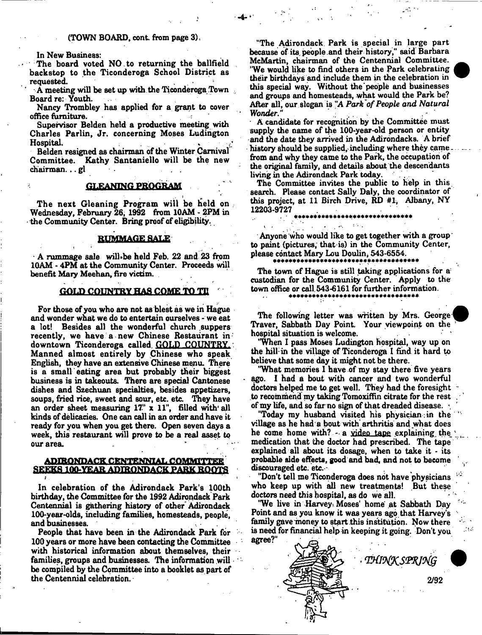#### (TOWN BOARD, cont from page 3),

In New Business:

The board voted NO to returning the ballfield backstop to the Ticonderoga School District as requested.

A meeting will be set up with the Ticonderoga Town Board re: Youth.

Nancy Trombley has applied for a grant to cover office filmiture.

Supervisor Belden held a productive meeting with Charles Parlin. Jr. concerning Moses Ludington  $\blacksquare$  if the interval is a interval in the interval interval in the interval interval in the interval interval in the interval interval in the interval interval in the interval interval interval in the interval interval

Belden resigned as chairman of the Winter Carnival Committee. Kathy Santaniello will be the new chairman... gl

# GLEANING PROGRAM

The next Gleaning Program will be held on, Wednesday. February 26, 1992 from 10AM - 2PM in - the Community Center. Bring proof of eligibility.

#### RUMMAGE SALE

t «

 $\cdot$  A rummage sale will-be held Feb. 22 and 23 from 10AM - 4PM at the Community Center. Proceeds will benefit Mary Meehan, fire victim.

#### **GOLD COUNTRY HAS COME TO TH**

For those of you who are not as blest as we in Hague and wonder what we do to entertain ourselves - we eat a lot! Besides all the wonderful church .suppers recently, we have a new Chinese Restaurant in downtown Ticonderoga called GOLD COUNTRY. Manned almost entirely by Chinese who speak English, they have an extensive Chinese menu. There is a small eating area but probably their biggest business is in takeouts. There are special Cantonese dishes and Szechuan specialties, besides appetizers, soups, fried rice, Bweet and sour, etc. etc. They have an order sheet measuring  $17^\circ$  x  $11^\circ$ , filled with all kinds of delicacies. One can call in an order and have it ready for you when you get there. Open seven days a week, this restaurant will prove to be a real asset to our area.

# ADIRONDACK CENTENNIAL COMMITTEE SEEKS 1QQ.YEAR ADIRONDACK PARK ROOTS

In celebration of the Adirondack Park's 100th birthday, the Committee for the 1992 Adirondack Park Centennial is gathering history of other Adirondack 100-year-olds, including families, homesteads, people, and businesses.

People that have been in the Adirondack Park for 100 years or more have been contacting the Committee with historical information about themselves, their families, groups and businesses. The information will be compiled by the Committee into a booklet as part of the Centennial celebration.

"The Adirondack Park is special in large part because of its people and their history," said Barbara McMartin, chairman of the Centennial Committee. 'We would like to find others in the Park celebrating their birthdays and include them in the celebration in this special way. Without the people and businesses and groups and homesteads, what would the Park be? After all, our slogan is "A *Park of People and Natural Wonder*."

A candidate for recognition by the Committee must supply the name of the 100-year-old person or entity and the date they arrived in the Adirondacks. A brief history should be supplied, including where they came. from and why they came to the Park, the occupation of the original family, and details about the descendants living in the Adirondack Park today.

The Committee invites the public to help in this search. Please contact Sally Daly, the coordinator of this project, at 11 Birch Drive, RD #1, Albany, NY 12203-9727

#### \*\*\*\*\*\*\*\*\*\*\*\*\*\*\*\*\*\*\*\*\*\*\*\*\*\*\*\*

Anyone who would like to get together with a group to paint (pictures, that is) in the Community Center, please contact Mary Lou Doulin, 543-6554.

 $\mathcal{L}(\mathcal{M})$  .

The town of Hague is still taking applications for a custodian for the Community Center. Apply to the town office or call 543-6161 for further information.

The following letter was written by Mrs. George Traver, Sabbath Day Point. Your viewpoint on the hospital situation is welcome.

'When I pass Moses Ludington hospital, way up on the hill in the village of Ticonderoga I find it hard to believe that some day it might not be there.

'What memories I have of my stay there five years ago. I had a bout with cancer and two wonderful doctors helped me to get well. They had the foresight to recommend my taking Tomoxiffin citrate for the rest of my life, and so far no sign of that dreaded disease.

"Today my husband visited his physician in the village as he had a bout with arthritis and what does he come home with? - a video tape explaining, the medication that the doctor had prescribed. The tape explained all about its dosage, when to take it - its probable aide effects, good and bad, and not to become discouraged etc. etc.-

"Don't tell me Ticonderoga does not have physicians who keep up with all new treatments! But these doctors need this hospital, as do we all.

'We live in Harvey Moses' home' at Sabbath Day Point and as you know it was years ago that Harvey's family gave money to start this institution. Now there is need for financial help in keeping it going. Don't you agree?"

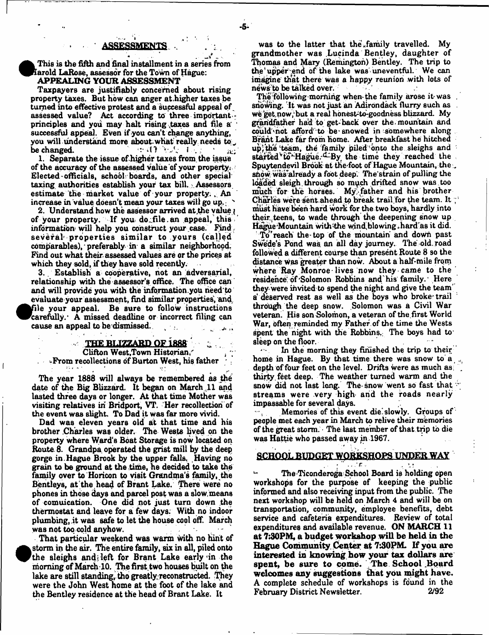This is the fifth and final installment in a series from Iarold LaRose, assessor for the Town of Hague: APPEALING YOUR ASSESSMENT

Taxpayers are justifiably concerned about rising property taxes. But how can anger at.higher taxes be turned into effective protest and a successful appeal of assessed value? Act according to three important principles and you may halt rising taxes and file a successful appeal. Even if you can't change anything, you will understand more about what really needs to  $\sim$  to  $\sim$  " be changed. :\* i H V A I »; \* *^*

1. Separate the issue of higher taxes from, the issue of the accuracy of the assessed value of your property: Elected officials, school- boards, and other special taxing authorities establish your tax bill. Assessors estimate the market value of your property. An increase in value doesn't mean your taxes will go up. '

2. Understand how the assessor arrived at, the value  $\mathbf{r}$ of your property. If you do file an appeal, this information will help you construct your case. Find several properties similar to yours (called comparables), preferably in a similar neighborhood. Find out what their assessed values are or the prices at which they sold, if they have sold recently.

3. Establish a cooperative, not an adversarial, relationship with the assessor's office. The office can and will provide you with the information.yon need to evaluate your assessment, find similar properties, and, <sup>•</sup> file your appeal. Be Bure to follow instructions carefidly/ A missed deadline or incorrect filing can cause an appeal to be dismissed.

# $\sim$  THE BLIZZARD OF 1888.

Clifton West, Town Historian, vFrom recollections of Burton West, hie father

The year 1888 will always be remembered as the date of the Big Blizzard. It began on March ,11 and lasted three days or longer. At that time Mother was visiting relatives in Bridport, VT. Her recollection of the event was slight. To Dad it was far more vivid.

Dad was eleven years old at that time and his brother Charles was older. The Wests lived on the property where Ward's Boat Storage is now located on Route. 8. Grandpa operated the grist mill by the deep gorge in.Hague Brook by the upper falls. Having no grain to be ground at the time, he decided to take the family over to Horicon to visit Grandma's family, the Bentleys, at the , head of Brant Lake. There were no phones in those days and parcel post was a slow, means of comuication. One did not just turn down the thermostat and leave for a few days. With no indoor plumbing, it was safe to let the house cool off. March was not too cold anyhow.

That particular weekend was warm with no hint of storm in the air. The entire family, six in all, piled onto the sleighs andjleft for Brant Lake early <in the morning of March 10. The first two houses built on the lake are still standing, tho greatly, reconstructed. They were the John West home at the foot of the lake and the Bentley residence at the head of Brant Lake. It

**•** 

was to the latter that the family travelled. My grandmother was Lucinda Bentley, daughter of Thomas and Mary (Remington) Bentley. The trip to the upper end of the lake was uneventful. We can imagine that there was a happy reunion with lots of news to be talked over.

The following morning when the family arose it was snowing, it was not just an Adirondack flurry such as we get now, but a real honest-to-goodness blizzard. My grandfather had to get\*back over the/mountain and could not afford to be snowed in somewhere along Brant Lake far from home. After breakfast he hitched  $up$ , the 'team, the family piled onto the sleighs and started to Hague.<sup>d</sup>By the time they reached the Spuytendevil Brook at the foot of Hague Mountain, the anow was already a foot deep'. The strain of pulling the loaded sleigh through so much drifted snow was too much for the horses. My father and his brother Charles were sent ahead to break trail for the team. It ; must have been hard work for the two boys, hardly into their teens, to wade through the deepening snow up Hague Mountain with the wind blowing, hard as it did.

To^r reach the top of the mountain and down past Swede's Pond was an all day journey. The old. road followed a different course than present Route 8 so the distance was greater than now. About a half-mile from where Ray Monroe-lives now they came to the residence of Solomon Robbins and his family. Here they were invited to spend the night and give the team' a deserved rest as well as the boys who broke trail through the deep snow. Solomon was a Civil War veteran. His son Solomon, a veteran of the firat World War, often reminded my Father of the time the Wests spent the night with the Robbins. The boys had to sleep on the floor.

In the morning they finished the trip to their home in Hague. By that time there was snow to a depth of four feet on the level. Drifts were as much as: thirty, feet deep. The weather turned warm and the snow did not last long. The snow went so fast that streams were very high and the roads nearly

impassable for several days. Memories of this event die slowly. Groups of people met each year in March to relive their memories of the great storm. The last member of that trip to die was Hattie who passed away in 1967.

# SCHOOL BUDGET WORKSHOPS UNDER WAY

 $\mathcal{L} = \frac{1}{2} \left[ \begin{array}{ccc} 1 & 0 & 0 \\ 0 & 1 & 0 \\ 0 & 0 & 0 \end{array} \right] \hspace{0.2cm} , \hspace{0.2cm} \mathcal{L} = \left[ \begin{array}{ccc} 1 & 0 & 0 \\ 0 & 1 & 0 \\ 0 & 0 & 0 \end{array} \right] \hspace{0.2cm} , \hspace{0.2cm} \mathcal{L} = \left[ \begin{array}{ccc} 1 & 0 & 0 \\ 0 & 1 & 0 \\ 0 & 0 & 0 \end{array} \right] \hspace{0.2cm} , \hspace{0.2cm} \mathcal$ The Ticonderoga School Board is holding open workshops for the purpose of keeping the public informed and also receiving input from the public. The next workshop will be held on March 4 and will be on transportation, community, employee benefits, debt service and cafeteria expenditures. Review of total expenditures and available revenue. ON MARCH 11 at 7:30PM, a budget workshop will be held in the Hague Community. Center at 7:30PM. If you are interested in knowing how your tax dollars are spent, be sure to come. The School Board welcomes any suggestions that you might have. A complete schedule of workshops is fdund in the February District Newsletter. 2/92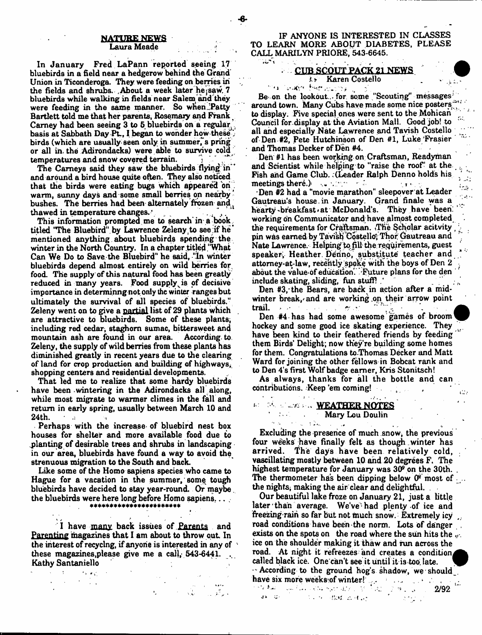#### NATURE NEWS Laura Meade

In January Fred LaPann reported seeing 17 bluebirds in a field near a hedgerow behind the Grand Union in Ticonderoga. They were feeding on berries in the fields and shrubs. .About a week later hejsaw. 7 bluebirds while walking in fields near Salem and they were feeding in the same manner. So when Patty Bartlett told me that her parents, Rosemary and Frank Carney had been seeing 3 to 5 bluebirds on a regular, basis at Sabbath Day Ft., I began to wonder how these' birds (which are usually seen only in summer, s pring or all in. the Adirondacks) were able to survive cold temperatures and snow covered terrain.

The Carneys said they saw the bluebirds flying in and around a bird house quite often. They also noticed that the birds were eating bugs which appeared on warm, sunny days and some small berries on nearby\* bushes. The berries had been alternately frozen and*/* thawed in temperature changes.  $\cdot$  .

This information prompted me to search in a book. titled 'The Bluebird".by Lawrence Zeleny to see if he' mentioned anything, about bluebirds spending the winter in the North Country, In a chapter titled "What Can We Do to Save the Bluebird" he said, "In winter bluebirds depend almost entirely on wild berries for food. The supply of this natural food has been greatly reduced in many years. Food supply is of decisive importance in determinng not only the winter ranges but ultimately the survival of all species of bluebirds." Zeleny went on to give a partial list of 29 plants which are attractive to bluebirds. Some of these plants, including red cedar; staghom sumac, bittersweet and mountain ash are found in our area. According, to Zeleny, the supply of wild berries from these plants has diminished greatly in recent years due to the clearing of land for crop production and building of highways^ shopping centers and residential developments.

That led me to realize that some hardy bluebirds have been wintering in the Adirondacks all along, while most migrate to warmer climes in the fall and return in early spring, usually between March 10 and  $24th$ 

Perhaps with the increase of bluebird nest box houses for shelter and more available food due to planting of desirable trees and shrubs in landscaping in our area, bluebirds have found a way to avoid the strenuous migration to the South and back.

Like some of the Homo sapiens species who came to Hague for a vacation in the summer, some tough bluebirds have decided to stay year-round. Or maybe. the bluebirds were here long before Homo sapiens,.. ,

I have many back issues of Parents and Parenting magazines that I am about to throw out In the interest of recyclng, if anyone is interested in any of ' these magazines, please give me a call,  $543-6441$ . Kathy Santaniello

 $\mathbf{v} = \mathbf{v} \cdot \mathbf{y}$  .  $\mathbf{v}$  $\sigma_{\rm{max}}$ 

IF ANYONE IS INTERESTED IN CLASSES TO LEARN MORE ABOUT DIABETES, PLEASE CALL MARILYN PRIORE, 543-6645.

# CUB SCOUT PACK 21 NEWS *i F* Karen Costello

# ' M V.John Herscusse (11:10)

Be-on the lookout.,, for some "Scouting'' messages' around town. Many Cubs have made some nice posters to display. Five special ones were sent to the Mohican Council for-display at the Aviation Mall. Good job! to all and especially Nate Lawrence and Tavish Costello of Den #2, Pete Hutchinson of Den #1, Luke'Frasier and Thomas Decker of Den #4.

Den #1 has been working on Craftsman, Readyman and Scientist while helping to "raise the roof ' at the Fish and Game Club. . (Leader Ralph Denno holds his meetings there.) As shown in the contract of the set

 $\sum_{i=1}^{n}$  $\mathbb{F}_{\mathbb{Z}^m}$  .  $\sim$   $\sim$ 

وتناه

•Den #2 had a "movie marathon" sleepover at Leader Gautreau's house.in January. Grand finale was a hearty breakfast at McDonald's. They have been: working on Communicator and have almost completed, the requirements for Craftsman. The Scholar acitvity , pin was earned by Tavish Costello; Thor Gautreau and Nate Lawrence. Helping to fill the requirements, guest speaker, Heather, Denno, substitute teacher and attorney-at-law, recehtly spoke with the boys of Den 2 about the Value-of education. Future plans for the den include skating, sliding, fun stuff!

Den #3, the Bears, are back in action after a midwinter break, and are working on their arrow point  $\text{trail.}$  . For the set of  $\mathcal{M}(\mathcal{M})$ 

Den #4 has had some awesome games of broom hockey and some good ice skating experience. They have been kind to their feathered friends by feeding them Birds' Delight; now they're building some homes for them. Congratulations to.Thomas Decker and Matt Ward for joining the other fellows in Bobcat rank and to Den 4's first Wolf badge earner, Kris Stonitsch!

As always, thanks for all the bottle and can contributions. Keep 'em coming! ,

#### $\sim 100$ \* 34 Steams WEATHER NOTES Mary Lou Doulin

 $\sim$ 

 $\gamma$  is a set of  $\gamma$  . The  $\gamma$ 

Excluding the presence of much snow, the previous four weeks have finally felt as though winter has arrived. The days have been relatively cold, vascillating mostly between 10 and 20 degrees F. The highest temperature for January was 3(P on the 30th. The thermometer has been dipping below  $0^{\circ}$  most of  $\ldots$ the nights, making the air clear and delightful.

Our beautiful lake froze on January 21, just a little later than average. We've had plenty of ice and freezing-rain so far but not much snow. Extremely icy road conditions have been-the norm. Lots of danger exists on the spots on the road where the sun hits the  $\omega$ . ice on the shoulder making it thaw and run across the road. At night it refreezes and creates a condition called black ice. One can't see it until it is too late. - According to the ground hog's shadow, we should have six more weeks of winter!

. The first cover line of the method of  $z\in\mathbb{R}^{n-1}$  . And  $z\in\mathbb{R}^{n-1}$  ,  $z=-2/92$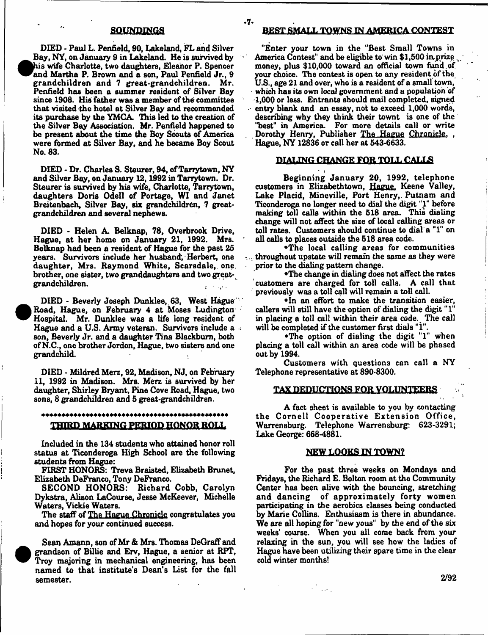DIED - Paul L. Penfield, 90, Lakeland, FL and Silver  $\bullet$ Bay, NY, on January 9 in Lakeland. He is survived by his wife Charlotte, two daughters, Eleanor P. Spencer and Martha P. Brown and a son, Paul Penfield Jr., 9 grandchildren and 7 great-grandchildren. Mr. Penfield has been a summer resident of Silver Bay since 1908. His father was a member of the committee that visited the hotel at Silver Bay and recommended its purchase by the YMCA. This led to the creation of the Silver Bay Association. Mr. Penfield happened to be present about the time the Boy Scouts of America were formed at Silver Bay, and he became Boy Scout No. 83.

DIED - Dr. Charles S. Steurer, 94, of Tarrytown, NY and Silver Bay, on January 12,1992 in Tarrytown. Dr. Steurer is survived by his wife, Charlotte, Tarrytown, daughters Doris Odell of Portage, WI and Janet Breitenbach, Silver Bay, six grandchildren, 7 greatgrandchildren and several nephews.

DIED - Helen A. Belknap, 78, Overbrook Drive, Hague, at her home on January 21, 1992. Mrs. Belknap had been a resident of Hague for the past 25 years. Survivors include her husband, Herbert, one daughter, Mrs. Raymond White, Scarsdale, one. brother, one sister, two granddaughters and two great-, grandchildren. .

DIED - Beverly Joseph Dunklee, 63, West Hague Road, Hague, on February 4 at Moses Ludington Hospital. Mr. Dunklee was a life long resident of Hague and a U.S. Army veteran. Survivors include a , son, Beverly Jr. and a daughter Tina Blackburn, both of N.C., one brother Jordon, Hague, two sisters and one grandchild.

<sup>•</sup>

•

DIED - Mildred Merz, 92, Madison, NJ, on February 11, 1992 in Madison. Mrs. Merz is survived by her daughter, Shirley Bryant, Pine Cove Road, Hague, two sons, 8 grandchildren and 5 great-grandchildren.

# THIRD MARKING PERIOD HONOR ROLL

Included in the 134 students who attained honor roll status at Ticonderoga High School are the following students from Hague:

FIRST HONORS: Treva Braisted, Elizabeth Brunet, Elizabeth DeFranco, Tony DeFranco.

SECOND HONORS: Richard Cobb, Carolyn Dykstra, Alison LaCourse, Jesse McKeever, Michelle Waters, Vickie Waters.

The staff of The Hague Chronicle congratulates you and hopes for your continued success.

Sean Amann, son of Mr & Mrs. Thomas DeGraff and grandson of Billie and Erv, Hague, a senior at RPT, Troy majoring in mechanical engineering, has been named to that institute's Dean's List for the fall semester.

# 3DUNPIKGS BEST SMALL TOWNS IN AMERICA CONTEST

-7-

"Enter your town in the "Best Small Towns in America Contest" and be eligible to win \$1,500 imprize ^ money, plus \$10,000 toward an official town fund.of your choice. The contest is open to any resident of the U.S., age 21 and over, who is a resident of a small town, which has its own local government and a population of 1,000 or less. Entrants should mail completed, signed  $\sim$  entry blank and an essay, not to exceed 1,000 words, describing why they think their townt is one of the "best" in America. For more details call or write . Dorothy Henry, Publisher The Hague Chronicle. , Hague, NY 12836 or call her at 543-6633.

# DIALING CHANGE FOR TOLL CALLS

\* » Beginning January 20, 1992, telephone customers in Elizabethtown, Hague. Keene Valley, Lake Placid, Mineville, Port Henry,. Putnam and Ticonderoga no longer need to dial the digit "1" before making toll calls within the 518 area. This dialing change will not affect the size of local calling areas or toll rates. Customers should continue to dial a "1" on all calls to places outside the 518 area code.

•The local calling areas for communities - throughout upstate will remain the same as they were prior to the dialing pattern change.

•The change in dialing does not affect the rates customers are charged for toll calls. A call that previously was a toll call will remain a toll call.

•In an effort to make the transition easier, callers will still have the option of dialing the digit "1" in placing a toll call within their area code. The call will be completed if the customer first dials "1".

•The option of dialing the digit "1" when placing a toll call within an area code will be phased out by 1994.

Customers with questions can call a NY Telephone representative at 890-8300.

# TAX DEDUCTIONS FOR VOLUNTEERS

A fact sheet is available to you by contacting the Cornell Cooperative Extension Office, Warrensburg. Telephone Warrensburg: 623-3291; Lake George: 668-4881.

#### NEW LOOKS IN TOWN?

For the past three weeks on Mondays and Fridays, the Richard E. Bolton room at the Community Center has been alive with the bouncing, stretching and dancing of approximately forty women participating in the aerobics classes being conducted by Marie Collins. Enthusiasm is there in abundance. We are all hoping for "new yous" by the end of the six weeks' course. When you all come back from your relaxing in the sun, you will see how the ladies of Hague have been utilizing their spare time in the clear cold winter months!

s in de